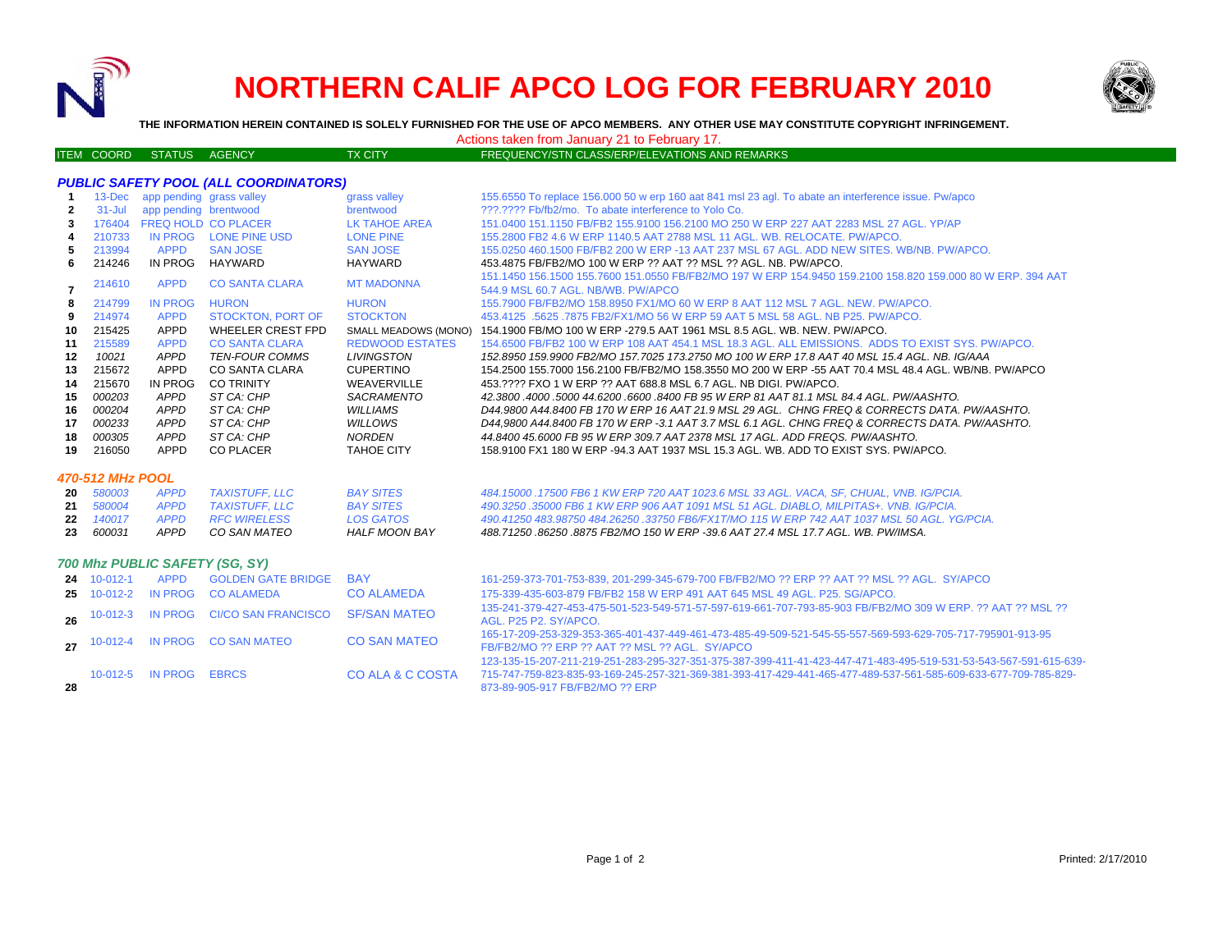

**28**

# **NORTHERN CALIF APCO LOG FOR FEBRUARY 2010**



**THE INFORMATION HEREIN CONTAINED IS SOLELY FURNISHED FOR THE USE OF APCO MEMBERS. ANY OTHER USE MAY CONSTITUTE COPYRIGHT INFRINGEMENT.**

Actions taken from January 21 to February 17.

### ITEM COORD STATUS AGENCY TX CITY TX CITY FREQUENCY/STN CLASS/ERP/ELEVATIONS AND REMARKS

| <b>PUBLIC SAFETY POOL (ALL COORDINATORS)</b> |                |                          |                            |                             |                                                                                                                                     |  |  |  |  |  |
|----------------------------------------------|----------------|--------------------------|----------------------------|-----------------------------|-------------------------------------------------------------------------------------------------------------------------------------|--|--|--|--|--|
|                                              | $13 - Dec$     | app pending grass valley |                            | grass valley                | 155.6550 To replace 156.000 50 w erp 160 aat 841 msl 23 agl. To abate an interference issue. Pw/apco                                |  |  |  |  |  |
| 2                                            | $31 -$ Jul     | app pending brentwood    |                            | brentwood                   | 222.2222 Fb/fb2/mo. To abate interference to Yolo Co.                                                                               |  |  |  |  |  |
| 3                                            | 176404         |                          | FREQ HOLD CO PLACER        | <b>LK TAHOE AREA</b>        | 151.0400 151.1150 FB/FB2 155.9100 156.2100 MO 250 W ERP 227 AAT 2283 MSL 27 AGL. YP/AP                                              |  |  |  |  |  |
|                                              | 210733         | <b>IN PROG</b>           | <b>LONE PINE USD</b>       | <b>LONE PINE</b>            | 155,2800 FB2 4.6 W ERP 1140.5 AAT 2788 MSL 11 AGL, WB, RELOCATE, PW/APCO,                                                           |  |  |  |  |  |
| 5                                            | 213994         | <b>APPD</b>              | <b>SAN JOSE</b>            | <b>SAN JOSE</b>             | 155,0250 460,1500 FB/FB2 200 W ERP -13 AAT 237 MSL 67 AGL, ADD NEW SITES, WB/NB, PW/APCO,                                           |  |  |  |  |  |
| 6                                            | 214246         | IN PROG                  | HAYWARD                    | <b>HAYWARD</b>              | 453.4875 FB/FB2/MO 100 W ERP ?? AAT ?? MSL ?? AGL, NB, PW/APCO.                                                                     |  |  |  |  |  |
|                                              |                | <b>APPD</b>              | <b>CO SANTA CLARA</b>      | <b>MT MADONNA</b>           | 151.1450 156.1500 155.7600 151.0550 FB/FB2/MO 197 W ERP 154.9450 159.2100 158.820 159.000 80 W ERP. 394 AAT                         |  |  |  |  |  |
| 7                                            | 214610         |                          |                            |                             | 544.9 MSL 60.7 AGL, NB/WB, PW/APCO                                                                                                  |  |  |  |  |  |
| 8                                            | 214799         | <b>IN PROG</b>           | <b>HURON</b>               | <b>HURON</b>                | 155,7900 FB/FB2/MO 158,8950 FX1/MO 60 W ERP 8 AAT 112 MSL 7 AGL, NEW, PW/APCO,                                                      |  |  |  |  |  |
| 9                                            | 214974         | <b>APPD</b>              | <b>STOCKTON, PORT OF</b>   | <b>STOCKTON</b>             | 453.4125 .5625 .7875 FB2/FX1/MO 56 W ERP 59 AAT 5 MSL 58 AGL. NB P25, PW/APCO.                                                      |  |  |  |  |  |
| 10                                           | 215425         | APPD                     | <b>WHEELER CREST FPD</b>   | <b>SMALL MEADOWS (MONO)</b> | 154.1900 FB/MO 100 W ERP -279.5 AAT 1961 MSL 8.5 AGL. WB. NEW. PW/APCO.                                                             |  |  |  |  |  |
| 11                                           | 215589         | <b>APPD</b>              | <b>CO SANTA CLARA</b>      | <b>REDWOOD ESTATES</b>      | 154,6500 FB/FB2 100 W ERP 108 AAT 454.1 MSL 18.3 AGL. ALL EMISSIONS. ADDS TO EXIST SYS. PW/APCO.                                    |  |  |  |  |  |
| 12                                           | 10021          | <b>APPD</b>              | <b>TEN-FOUR COMMS</b>      | <b>LIVINGSTON</b>           | 152.8950 159.9900 FB2/MO 157.7025 173.2750 MO 100 W ERP 17.8 AAT 40 MSL 15.4 AGL. NB. IG/AAA                                        |  |  |  |  |  |
| 13                                           | 215672         | <b>APPD</b>              | CO SANTA CLARA             | <b>CUPERTINO</b>            | 154.2500 155.7000 156.2100 FB/FB2/MO 158.3550 MO 200 W ERP -55 AAT 70.4 MSL 48.4 AGL, WB/NB, PW/APCO                                |  |  |  |  |  |
| 14                                           | 215670         | <b>IN PROG</b>           | <b>CO TRINITY</b>          | WEAVERVILLE                 | 453.???? FXO 1 W ERP ?? AAT 688.8 MSL 6.7 AGL. NB DIGI. PW/APCO.                                                                    |  |  |  |  |  |
| 15                                           | 000203         | APPD                     | ST CA: CHP                 | SACRAMENTO                  | 42.3800 .4000 .5000 44.6200 .6600 .8400 FB 95 W ERP 81 AAT 81.1 MSL 84.4 AGL. PW/AASHTO.                                            |  |  |  |  |  |
| 16                                           | 000204         | <b>APPD</b>              | ST CA: CHP                 | <b>WILLIAMS</b>             | D44.9800 A44.8400 FB 170 W ERP 16 AAT 21.9 MSL 29 AGL. CHNG FREQ & CORRECTS DATA. PW/AASHTO.                                        |  |  |  |  |  |
| 17                                           | 000233         | <b>APPD</b>              | ST CA: CHP                 | <b>WILLOWS</b>              | D44,9800 A44.8400 FB 170 W ERP -3.1 AAT 3.7 MSL 6.1 AGL. CHNG FREQ & CORRECTS DATA. PW/AASHTO.                                      |  |  |  |  |  |
| 18                                           | 000305         | <b>APPD</b>              | ST CA: CHP                 | <b>NORDEN</b>               | 44.8400 45.6000 FB 95 W ERP 309.7 AAT 2378 MSL 17 AGL. ADD FREOS, PW/AASHTO.                                                        |  |  |  |  |  |
| 19                                           | 216050         | APPD                     | <b>CO PLACER</b>           | <b>TAHOE CITY</b>           | 158,9100 FX1 180 W ERP -94.3 AAT 1937 MSL 15.3 AGL, WB, ADD TO EXIST SYS, PW/APCO,                                                  |  |  |  |  |  |
| 470-512 MHz POOL                             |                |                          |                            |                             |                                                                                                                                     |  |  |  |  |  |
| 20                                           | 580003         | <b>APPD</b>              | <b>TAXISTUFF. LLC</b>      | <b>BAY SITES</b>            | 484.15000 .17500 FB6 1 KW ERP 720 AAT 1023.6 MSL 33 AGL, VACA, SF, CHUAL, VNB, IG/PCIA,                                             |  |  |  |  |  |
| 21                                           | 580004         | <b>APPD</b>              | <b>TAXISTUFF. LLC</b>      | <b>BAY SITES</b>            | 490.3250.35000 FB6 1 KW ERP 906 AAT 1091 MSL 51 AGL. DIABLO, MILPITAS+, VNB, IG/PCIA.                                               |  |  |  |  |  |
| 22                                           | 140017         | <b>APPD</b>              | <b>RFC WIRELESS</b>        | <b>LOS GATOS</b>            | 490.41250 483.98750 484.26250 .33750 FB6/FX1T/MO 115 W ERP 742 AAT 1037 MSL 50 AGL. YG/PCIA.                                        |  |  |  |  |  |
| 23                                           | 600031         | <b>APPD</b>              | CO SAN MATEO               | <b>HALF MOON BAY</b>        | 488.71250 .86250 .8875 FB2/MO 150 W ERP -39.6 AAT 27.4 MSL 17.7 AGL, WB, PW/IMSA.                                                   |  |  |  |  |  |
| 700 Mhz PUBLIC SAFETY (SG, SY)               |                |                          |                            |                             |                                                                                                                                     |  |  |  |  |  |
|                                              |                |                          |                            |                             |                                                                                                                                     |  |  |  |  |  |
|                                              | 24 10-012-1    | <b>APPD</b>              | <b>GOLDEN GATE BRIDGE</b>  | <b>BAY</b>                  | 161-259-373-701-753-839, 201-299-345-679-700 FB/FB2/MO ?? ERP ?? AAT ?? MSL ?? AGL. SY/APCO                                         |  |  |  |  |  |
| 25                                           | $10-012-2$     | <b>IN PROG</b>           | <b>CO ALAMEDA</b>          | <b>CO ALAMEDA</b>           | 175-339-435-603-879 FB/FB2 158 W ERP 491 AAT 645 MSL 49 AGL, P25, SG/APCO,                                                          |  |  |  |  |  |
| 26                                           | $10 - 012 - 3$ | <b>IN PROG</b>           | <b>CI/CO SAN FRANCISCO</b> | <b>SF/SAN MATEO</b>         | 135-241-379-427-453-475-501-523-549-571-57-597-619-661-707-793-85-903 FB/FB2/MO 309 W ERP, ?? AAT ?? MSL ??                         |  |  |  |  |  |
|                                              |                |                          |                            |                             | AGL. P25 P2. SY/APCO.<br>165-17-209-253-329-353-365-401-437-449-461-473-485-49-509-521-545-55-557-569-593-629-705-717-795901-913-95 |  |  |  |  |  |
| 27                                           | $10 - 012 - 4$ |                          | IN PROG CO SAN MATEO       | <b>CO SAN MATEO</b>         | FB/FB2/MO ?? ERP ?? AAT ?? MSL ?? AGL. SY/APCO                                                                                      |  |  |  |  |  |

 123-135-15-207-211-219-251-283-295-327-351-375-387-399-411-41-423-447-471-483-495-519-531-53-543-567-591-615-639- 10-012-5 IN PROG EBRCS CO ALA & C COSTA715-747-759-823-835-93-169-245-257-321-369-381-393-417-429-441-465-477-489-537-561-585-609-633-677-709-785-829- 873-89-905-917 FB/FB2/MO ?? ERP